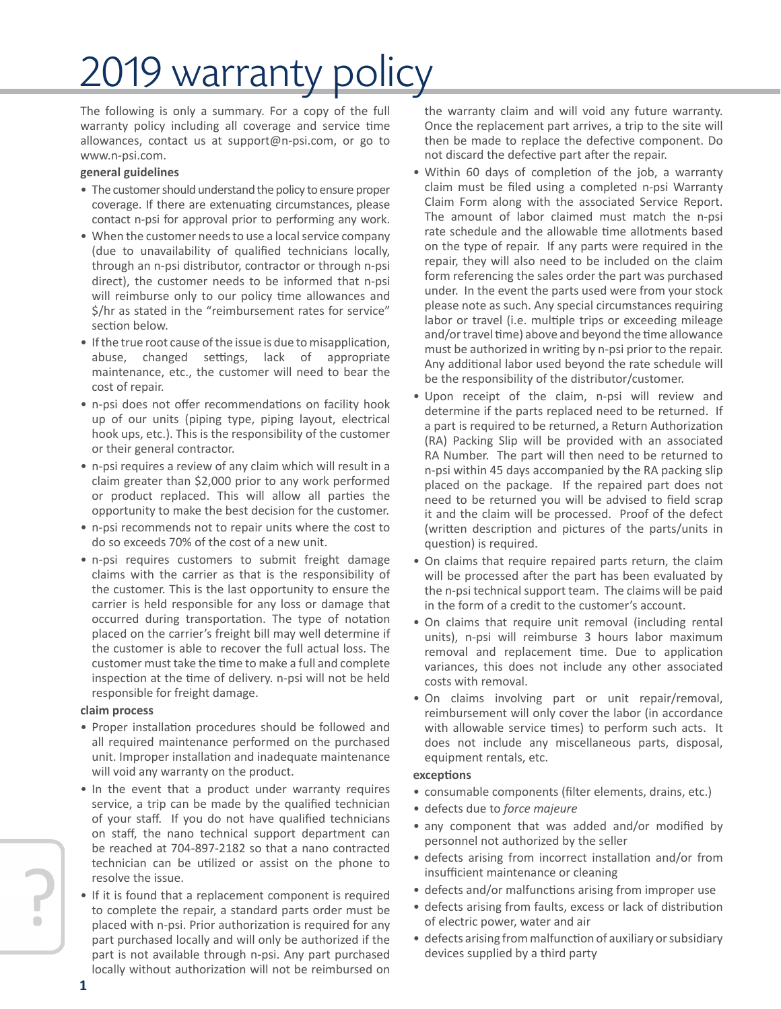# 2019 warranty policy

The following is only a summary. For a copy of the full warranty policy including all coverage and service time allowances, contact us at support@n-psi.com, or go to www.n-psi.com.

## **general guidelines**

- The customer should understand the policy to ensure proper coverage. If there are extenuating circumstances, please contact n-psi for approval prior to performing any work.
- When the customer needs to use a local service company (due to unavailability of qualified technicians locally, through an n-psi distributor, contractor or through n-psi direct), the customer needs to be informed that n-psi will reimburse only to our policy time allowances and \$/hr as stated in the "reimbursement rates for service" section below.
- If the true root cause of the issue is due to misapplication, abuse, changed settings, lack of appropriate maintenance, etc., the customer will need to bear the cost of repair.
- n-psi does not offer recommendations on facility hook up of our units (piping type, piping layout, electrical hook ups, etc.). This is the responsibility of the customer or their general contractor.
- n-psi requires a review of any claim which will result in a claim greater than \$2,000 prior to any work performed or product replaced. This will allow all parties the opportunity to make the best decision for the customer.
- n-psi recommends not to repair units where the cost to do so exceeds 70% of the cost of a new unit.
- n-psi requires customers to submit freight damage claims with the carrier as that is the responsibility of the customer. This is the last opportunity to ensure the carrier is held responsible for any loss or damage that occurred during transportation. The type of notation placed on the carrier's freight bill may well determine if the customer is able to recover the full actual loss. The customer must take the time to make a full and complete inspection at the time of delivery. n-psi will not be held responsible for freight damage.

## **claim process**

- Proper installation procedures should be followed and all required maintenance performed on the purchased unit. Improper installation and inadequate maintenance will void any warranty on the product.
- In the event that a product under warranty requires service, a trip can be made by the qualified technician of your staff. If you do not have qualified technicians on staff, the nano technical support department can be reached at 704-897-2182 so that a nano contracted technician can be utilized or assist on the phone to resolve the issue.
- If it is found that a replacement component is required to complete the repair, a standard parts order must be placed with n-psi. Prior authorization is required for any part purchased locally and will only be authorized if the part is not available through n-psi. Any part purchased locally without authorization will not be reimbursed on

the warranty claim and will void any future warranty. Once the replacement part arrives, a trip to the site will then be made to replace the defective component. Do not discard the defective part after the repair.

- Within 60 days of completion of the job, a warranty claim must be filed using a completed n-psi Warranty Claim Form along with the associated Service Report. The amount of labor claimed must match the n-psi rate schedule and the allowable time allotments based on the type of repair. If any parts were required in the repair, they will also need to be included on the claim form referencing the sales order the part was purchased under. In the event the parts used were from your stock please note as such. Any special circumstances requiring labor or travel (i.e. multiple trips or exceeding mileage and/or travel time) above and beyond the time allowance must be authorized in writing by n-psi prior to the repair. Any additional labor used beyond the rate schedule will be the responsibility of the distributor/customer.
- Upon receipt of the claim, n-psi will review and determine if the parts replaced need to be returned. If a part is required to be returned, a Return Authorization (RA) Packing Slip will be provided with an associated RA Number. The part will then need to be returned to n-psi within 45 days accompanied by the RA packing slip placed on the package. If the repaired part does not need to be returned you will be advised to field scrap it and the claim will be processed. Proof of the defect (written description and pictures of the parts/units in question) is required.
- On claims that require repaired parts return, the claim will be processed after the part has been evaluated by the n-psi technical support team. The claims will be paid in the form of a credit to the customer's account.
- On claims that require unit removal (including rental units), n-psi will reimburse 3 hours labor maximum removal and replacement time. Due to application variances, this does not include any other associated costs with removal.
- On claims involving part or unit repair/removal, reimbursement will only cover the labor (in accordance with allowable service times) to perform such acts. It does not include any miscellaneous parts, disposal, equipment rentals, etc.

# **excepƟ ons**

- consumable components (filter elements, drains, etc.)
- defects due to *force majeure*
- any component that was added and/or modified by personnel not authorized by the seller
- defects arising from incorrect installation and/or from insufficient maintenance or cleaning
- defects and/or malfunctions arising from improper use
- defects arising from faults, excess or lack of distribution of electric power, water and air
- defects arising from malfunction of auxiliary or subsidiary devices supplied by a third party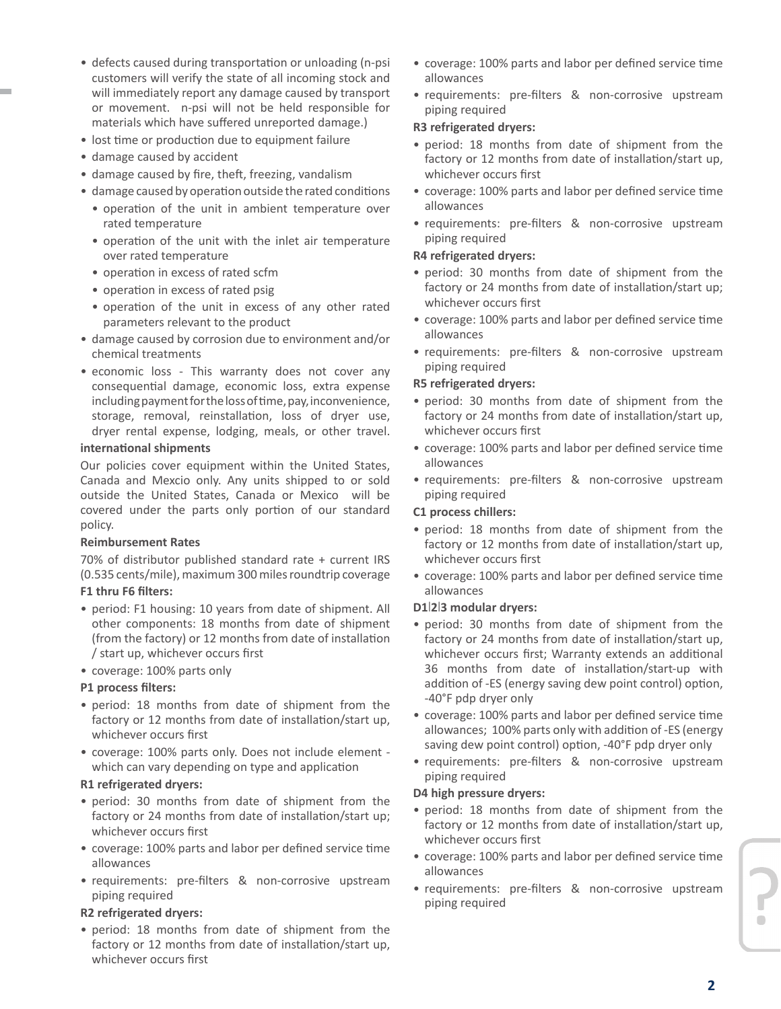- defects caused during transportation or unloading (n-psi customers will verify the state of all incoming stock and will immediately report any damage caused by transport or movement. n-psi will not be held responsible for materials which have suffered unreported damage.)
- lost time or production due to equipment failure
- damage caused by accident
- damage caused by fire, theft, freezing, vandalism
- damage caused by operation outside the rated conditions
	- operation of the unit in ambient temperature over rated temperature
	- operation of the unit with the inlet air temperature over rated temperature
	- operation in excess of rated scfm
	- operation in excess of rated psig
	- operation of the unit in excess of any other rated parameters relevant to the product
- damage caused by corrosion due to environment and/or chemical treatments
- economic loss This warranty does not cover any consequential damage, economic loss, extra expense including payment for the loss of time, pay, inconvenience, storage, removal, reinstallation, loss of dryer use, dryer rental expense, lodging, meals, or other travel.

### **internaƟ onal shipments**

Our policies cover equipment within the United States, Canada and Mexcio only. Any units shipped to or sold outside the United States, Canada or Mexico will be covered under the parts only portion of our standard policy.

#### **Reimbursement Rates**

70% of distributor published standard rate + current IRS (0.535 cents/mile), maximum 300 miles roundtrip coverage

# **F1 thru F6 filters:**

• period: F1 housing: 10 years from date of shipment. All other components: 18 months from date of shipment (from the factory) or 12 months from date of installation / start up, whichever occurs first

## • coverage: 100% parts only

## **P1 process filters:**

- period: 18 months from date of shipment from the factory or 12 months from date of installation/start up, whichever occurs first
- coverage: 100% parts only. Does not include element which can vary depending on type and application

#### **R1 refrigerated dryers:**

- period: 30 months from date of shipment from the factory or 24 months from date of installation/start up; whichever occurs first
- coverage: 100% parts and labor per defined service time allowances
- requirements: pre-filters & non-corrosive upstream piping required

## **R2 refrigerated dryers:**

• period: 18 months from date of shipment from the factory or 12 months from date of installation/start up, whichever occurs first

- coverage: 100% parts and labor per defined service time allowances
- requirements: pre-filters & non-corrosive upstream piping required

#### **R3 refrigerated dryers:**

- period: 18 months from date of shipment from the factory or 12 months from date of installation/start up, whichever occurs first
- coverage: 100% parts and labor per defined service time allowances
- requirements: pre-filters & non-corrosive upstream piping required

#### **R4 refrigerated dryers:**

- period: 30 months from date of shipment from the factory or 24 months from date of installation/start up; whichever occurs first
- coverage: 100% parts and labor per defined service time allowances
- requirements: pre-filters & non-corrosive upstream piping required

#### **R5 refrigerated dryers:**

- period: 30 months from date of shipment from the factory or 24 months from date of installation/start up, whichever occurs first
- coverage: 100% parts and labor per defined service time allowances
- requirements: pre-filters & non-corrosive upstream piping required

## **C1 process chillers:**

- period: 18 months from date of shipment from the factory or 12 months from date of installation/start up, whichever occurs first
- coverage: 100% parts and labor per defined service time allowances

#### **D1**|**2**|**3 modular dryers:**

- period: 30 months from date of shipment from the factory or 24 months from date of installation/start up, whichever occurs first; Warranty extends an additional 36 months from date of installation/start-up with addition of -ES (energy saving dew point control) option, -40°F pdp dryer only
- coverage: 100% parts and labor per defined service time allowances; 100% parts only with addition of -ES (energy saving dew point control) option, -40°F pdp dryer only
- requirements: pre-filters & non-corrosive upstream piping required

#### **D4 high pressure dryers:**

- period: 18 months from date of shipment from the factory or 12 months from date of installation/start up, whichever occurs first
- coverage: 100% parts and labor per defined service time allowances
- requirements: pre-filters & non-corrosive upstream piping required